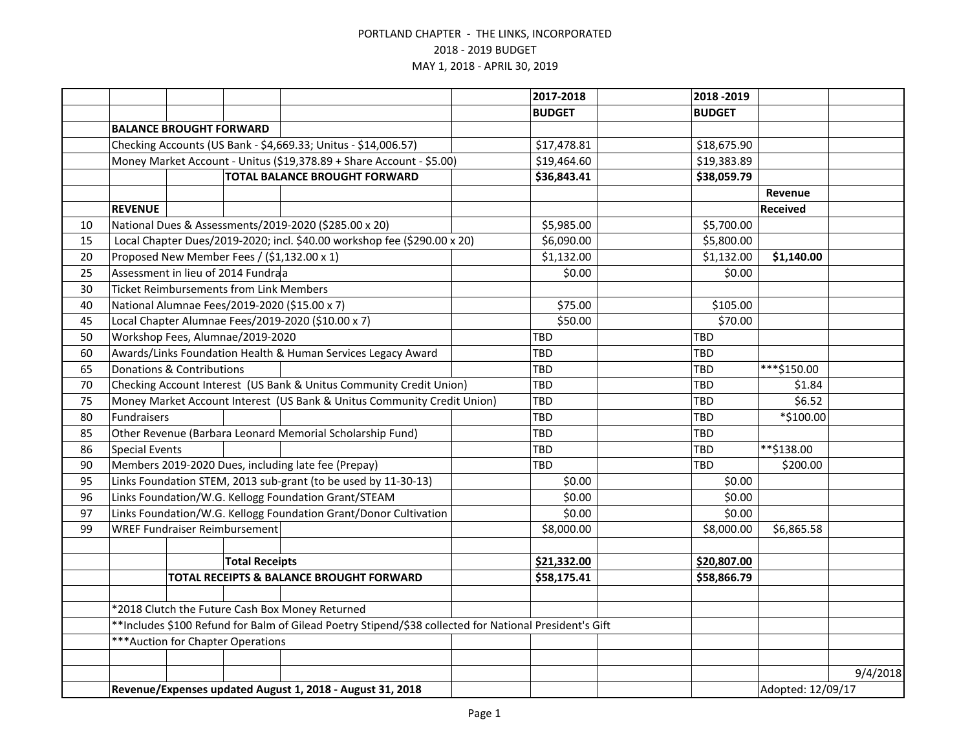|    |                                                                         |  |                                                |                                                                                                        |  | 2017-2018     | 2018 - 2019   |                   |          |
|----|-------------------------------------------------------------------------|--|------------------------------------------------|--------------------------------------------------------------------------------------------------------|--|---------------|---------------|-------------------|----------|
|    |                                                                         |  |                                                |                                                                                                        |  | <b>BUDGET</b> | <b>BUDGET</b> |                   |          |
|    | <b>BALANCE BROUGHT FORWARD</b>                                          |  |                                                |                                                                                                        |  |               |               |                   |          |
|    | Checking Accounts (US Bank - \$4,669.33; Unitus - \$14,006.57)          |  |                                                |                                                                                                        |  | \$17,478.81   | \$18,675.90   |                   |          |
|    | Money Market Account - Unitus (\$19,378.89 + Share Account - \$5.00)    |  |                                                |                                                                                                        |  | \$19,464.60   | \$19,383.89   |                   |          |
|    | <b>TOTAL BALANCE BROUGHT FORWARD</b>                                    |  |                                                |                                                                                                        |  | \$36,843.41   | \$38,059.79   |                   |          |
|    |                                                                         |  |                                                |                                                                                                        |  |               |               | Revenue           |          |
|    | <b>REVENUE</b>                                                          |  |                                                |                                                                                                        |  |               |               | <b>Received</b>   |          |
| 10 |                                                                         |  |                                                | National Dues & Assessments/2019-2020 (\$285.00 x 20)                                                  |  | \$5,985.00    | \$5,700.00    |                   |          |
| 15 |                                                                         |  |                                                | Local Chapter Dues/2019-2020; incl. \$40.00 workshop fee (\$290.00 x 20)                               |  | \$6,090.00    | \$5,800.00    |                   |          |
| 20 |                                                                         |  |                                                | Proposed New Member Fees / (\$1,132.00 x 1)                                                            |  | \$1,132.00    | \$1,132.00    | \$1,140.00        |          |
| 25 |                                                                         |  | Assessment in lieu of 2014 Fundraa             |                                                                                                        |  | \$0.00        | \$0.00        |                   |          |
| 30 |                                                                         |  | <b>Ticket Reimbursements from Link Members</b> |                                                                                                        |  |               |               |                   |          |
| 40 |                                                                         |  |                                                | National Alumnae Fees/2019-2020 (\$15.00 x 7)                                                          |  | \$75.00       | \$105.00      |                   |          |
| 45 |                                                                         |  |                                                | Local Chapter Alumnae Fees/2019-2020 (\$10.00 x 7)                                                     |  | \$50.00       | \$70.00       |                   |          |
| 50 |                                                                         |  | Workshop Fees, Alumnae/2019-2020               |                                                                                                        |  | TBD           | <b>TBD</b>    |                   |          |
| 60 |                                                                         |  |                                                | Awards/Links Foundation Health & Human Services Legacy Award                                           |  | TBD           | <b>TBD</b>    |                   |          |
| 65 | Donations & Contributions                                               |  |                                                |                                                                                                        |  | TBD           | <b>TBD</b>    | ***\$150.00       |          |
| 70 |                                                                         |  |                                                | Checking Account Interest (US Bank & Unitus Community Credit Union)                                    |  | TBD           | <b>TBD</b>    | \$1.84            |          |
| 75 | Money Market Account Interest (US Bank & Unitus Community Credit Union) |  |                                                |                                                                                                        |  | <b>TBD</b>    | <b>TBD</b>    | \$6.52            |          |
| 80 | Fundraisers                                                             |  |                                                |                                                                                                        |  | TBD           | <b>TBD</b>    | *\$100.00         |          |
| 85 |                                                                         |  |                                                | Other Revenue (Barbara Leonard Memorial Scholarship Fund)                                              |  | TBD           | TBD           |                   |          |
| 86 | <b>Special Events</b>                                                   |  |                                                |                                                                                                        |  | TBD           | TBD           | **\$138.00        |          |
| 90 |                                                                         |  |                                                | Members 2019-2020 Dues, including late fee (Prepay)                                                    |  | TBD           | TBD           | \$200.00          |          |
| 95 | Links Foundation STEM, 2013 sub-grant (to be used by 11-30-13)          |  |                                                |                                                                                                        |  | \$0.00        | \$0.00        |                   |          |
| 96 | Links Foundation/W.G. Kellogg Foundation Grant/STEAM                    |  |                                                |                                                                                                        |  | \$0.00        | \$0.00        |                   |          |
| 97 | Links Foundation/W.G. Kellogg Foundation Grant/Donor Cultivation        |  |                                                |                                                                                                        |  | \$0.00        | \$0.00        |                   |          |
| 99 |                                                                         |  | <b>WREF Fundraiser Reimbursement</b>           |                                                                                                        |  | \$8,000.00    | \$8,000.00    | \$6,865.58        |          |
|    |                                                                         |  |                                                |                                                                                                        |  |               |               |                   |          |
|    |                                                                         |  | <b>Total Receipts</b>                          |                                                                                                        |  | \$21,332.00   | \$20,807.00   |                   |          |
|    |                                                                         |  |                                                | TOTAL RECEIPTS & BALANCE BROUGHT FORWARD                                                               |  | \$58,175.41   | \$58,866.79   |                   |          |
|    |                                                                         |  |                                                |                                                                                                        |  |               |               |                   |          |
|    |                                                                         |  |                                                | *2018 Clutch the Future Cash Box Money Returned                                                        |  |               |               |                   |          |
|    |                                                                         |  |                                                | **Includes \$100 Refund for Balm of Gilead Poetry Stipend/\$38 collected for National President's Gift |  |               |               |                   |          |
|    |                                                                         |  | *** Auction for Chapter Operations             |                                                                                                        |  |               |               |                   |          |
|    |                                                                         |  |                                                |                                                                                                        |  |               |               |                   |          |
|    |                                                                         |  |                                                |                                                                                                        |  |               |               |                   | 9/4/2018 |
|    | Revenue/Expenses updated August 1, 2018 - August 31, 2018               |  |                                                |                                                                                                        |  |               |               | Adopted: 12/09/17 |          |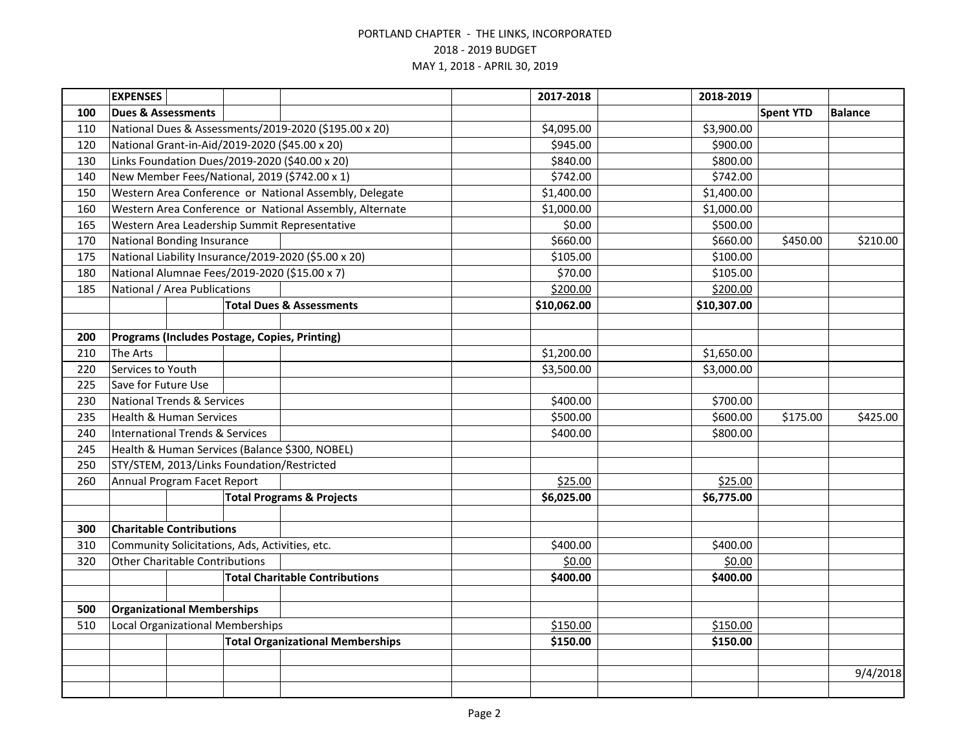|     | <b>EXPENSES</b>                                |  |                                            |                                                         | 2017-2018   | 2018-2019   |                  |                |
|-----|------------------------------------------------|--|--------------------------------------------|---------------------------------------------------------|-------------|-------------|------------------|----------------|
| 100 | <b>Dues &amp; Assessments</b>                  |  |                                            |                                                         |             |             | <b>Spent YTD</b> | <b>Balance</b> |
| 110 |                                                |  |                                            | National Dues & Assessments/2019-2020 (\$195.00 x 20)   | \$4,095.00  | \$3,900.00  |                  |                |
| 120 |                                                |  |                                            | National Grant-in-Aid/2019-2020 (\$45.00 x 20)          | \$945.00    | \$900.00    |                  |                |
| 130 |                                                |  |                                            | Links Foundation Dues/2019-2020 (\$40.00 x 20)          | \$840.00    | \$800.00    |                  |                |
| 140 |                                                |  |                                            | New Member Fees/National, 2019 (\$742.00 x 1)           | \$742.00    | \$742.00    |                  |                |
| 150 |                                                |  |                                            | Western Area Conference or National Assembly, Delegate  | \$1,400.00  | \$1,400.00  |                  |                |
| 160 |                                                |  |                                            | Western Area Conference or National Assembly, Alternate | \$1,000.00  | \$1,000.00  |                  |                |
| 165 |                                                |  |                                            | Western Area Leadership Summit Representative           | \$0.00      | \$500.00    |                  |                |
| 170 | <b>National Bonding Insurance</b>              |  |                                            |                                                         | \$660.00    | \$660.00    | \$450.00         | \$210.00       |
| 175 |                                                |  |                                            | National Liability Insurance/2019-2020 (\$5.00 x 20)    | \$105.00    | \$100.00    |                  |                |
| 180 |                                                |  |                                            | National Alumnae Fees/2019-2020 (\$15.00 x 7)           | \$70.00     | \$105.00    |                  |                |
| 185 | National / Area Publications                   |  |                                            |                                                         | \$200.00    | \$200.00    |                  |                |
|     |                                                |  |                                            | <b>Total Dues &amp; Assessments</b>                     | \$10,062.00 | \$10,307.00 |                  |                |
|     |                                                |  |                                            |                                                         |             |             |                  |                |
| 200 |                                                |  |                                            | Programs (Includes Postage, Copies, Printing)           |             |             |                  |                |
| 210 | <b>The Arts</b>                                |  |                                            |                                                         | \$1,200.00  | \$1,650.00  |                  |                |
| 220 | Services to Youth                              |  |                                            |                                                         | \$3,500.00  | \$3,000.00  |                  |                |
| 225 | Save for Future Use                            |  |                                            |                                                         |             |             |                  |                |
| 230 | <b>National Trends &amp; Services</b>          |  |                                            |                                                         | \$400.00    | \$700.00    |                  |                |
| 235 | <b>Health &amp; Human Services</b>             |  |                                            |                                                         | \$500.00    | \$600.00    | \$175.00         | \$425.00       |
| 240 | <b>International Trends &amp; Services</b>     |  |                                            |                                                         | \$400.00    | \$800.00    |                  |                |
| 245 |                                                |  |                                            | Health & Human Services (Balance \$300, NOBEL)          |             |             |                  |                |
| 250 |                                                |  | STY/STEM, 2013/Links Foundation/Restricted |                                                         |             |             |                  |                |
| 260 | Annual Program Facet Report                    |  |                                            |                                                         | \$25.00     | \$25.00     |                  |                |
|     | <b>Total Programs &amp; Projects</b>           |  |                                            |                                                         | \$6,025.00  | \$6,775.00  |                  |                |
|     |                                                |  |                                            |                                                         |             |             |                  |                |
| 300 | <b>Charitable Contributions</b>                |  |                                            |                                                         |             |             |                  |                |
| 310 | Community Solicitations, Ads, Activities, etc. |  |                                            |                                                         | \$400.00    | \$400.00    |                  |                |
| 320 | <b>Other Charitable Contributions</b>          |  |                                            |                                                         | \$0.00      | \$0.00      |                  |                |
|     |                                                |  |                                            | <b>Total Charitable Contributions</b>                   | \$400.00    | \$400.00    |                  |                |
|     |                                                |  |                                            |                                                         |             |             |                  |                |
| 500 | <b>Organizational Memberships</b>              |  |                                            |                                                         |             |             |                  |                |
| 510 | <b>Local Organizational Memberships</b>        |  |                                            |                                                         | \$150.00    | \$150.00    |                  |                |
|     | <b>Total Organizational Memberships</b>        |  |                                            |                                                         | \$150.00    | \$150.00    |                  |                |
|     |                                                |  |                                            |                                                         |             |             |                  |                |
|     |                                                |  |                                            |                                                         |             |             |                  | 9/4/2018       |
|     |                                                |  |                                            |                                                         |             |             |                  |                |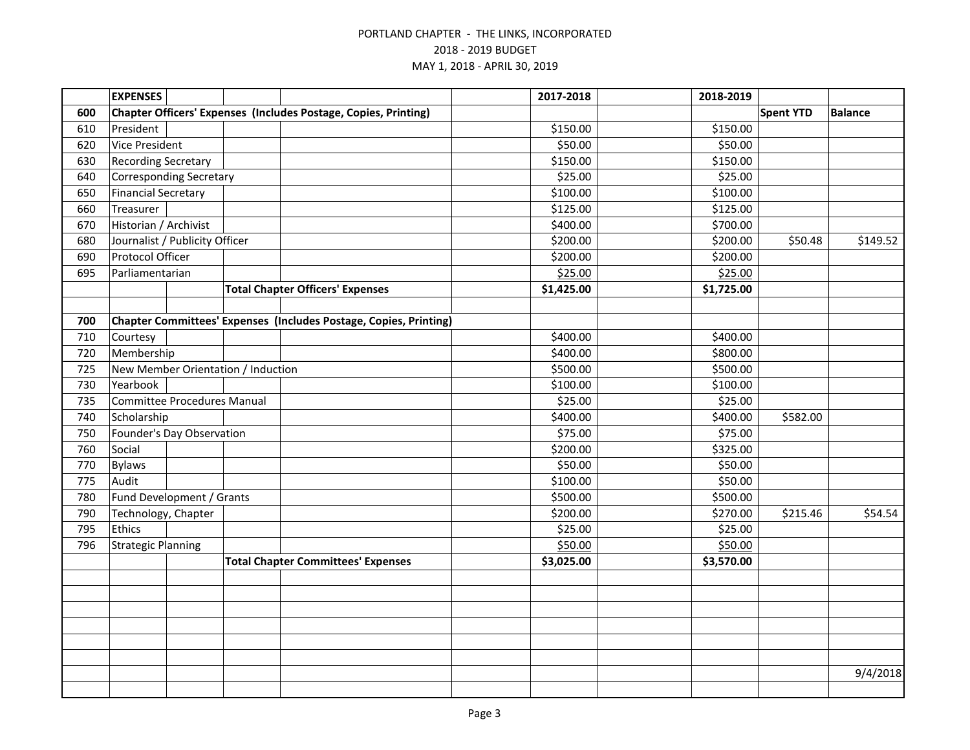|     | <b>EXPENSES</b>                    |  |  |                                                                   |  | 2017-2018  | 2018-2019  |                  |                |
|-----|------------------------------------|--|--|-------------------------------------------------------------------|--|------------|------------|------------------|----------------|
| 600 |                                    |  |  | Chapter Officers' Expenses (Includes Postage, Copies, Printing)   |  |            |            | <b>Spent YTD</b> | <b>Balance</b> |
| 610 | President                          |  |  |                                                                   |  | \$150.00   | \$150.00   |                  |                |
| 620 | <b>Vice President</b>              |  |  |                                                                   |  | \$50.00    | \$50.00    |                  |                |
| 630 | <b>Recording Secretary</b>         |  |  |                                                                   |  | \$150.00   | \$150.00   |                  |                |
| 640 | <b>Corresponding Secretary</b>     |  |  |                                                                   |  | \$25.00    | \$25.00    |                  |                |
| 650 | <b>Financial Secretary</b>         |  |  |                                                                   |  | \$100.00   | \$100.00   |                  |                |
| 660 | Treasurer                          |  |  |                                                                   |  | \$125.00   | \$125.00   |                  |                |
| 670 | Historian / Archivist              |  |  |                                                                   |  | \$400.00   | \$700.00   |                  |                |
| 680 | Journalist / Publicity Officer     |  |  |                                                                   |  | \$200.00   | \$200.00   | \$50.48          | \$149.52       |
| 690 | Protocol Officer                   |  |  |                                                                   |  | \$200.00   | \$200.00   |                  |                |
| 695 | Parliamentarian                    |  |  |                                                                   |  | \$25.00    | \$25.00    |                  |                |
|     |                                    |  |  | <b>Total Chapter Officers' Expenses</b>                           |  | \$1,425.00 | \$1,725.00 |                  |                |
|     |                                    |  |  |                                                                   |  |            |            |                  |                |
| 700 |                                    |  |  | Chapter Committees' Expenses (Includes Postage, Copies, Printing) |  |            |            |                  |                |
| 710 | Courtesy                           |  |  |                                                                   |  | \$400.00   | \$400.00   |                  |                |
| 720 | Membership                         |  |  |                                                                   |  | \$400.00   | \$800.00   |                  |                |
| 725 | New Member Orientation / Induction |  |  |                                                                   |  | \$500.00   | \$500.00   |                  |                |
| 730 | Yearbook                           |  |  |                                                                   |  | \$100.00   | \$100.00   |                  |                |
| 735 | <b>Committee Procedures Manual</b> |  |  |                                                                   |  | \$25.00    | \$25.00    |                  |                |
| 740 | Scholarship                        |  |  |                                                                   |  | \$400.00   | \$400.00   | \$582.00         |                |
| 750 | Founder's Day Observation          |  |  |                                                                   |  | \$75.00    | \$75.00    |                  |                |
| 760 | Social                             |  |  |                                                                   |  | \$200.00   | \$325.00   |                  |                |
| 770 | <b>Bylaws</b>                      |  |  |                                                                   |  | \$50.00    | \$50.00    |                  |                |
| 775 | Audit                              |  |  |                                                                   |  | \$100.00   | \$50.00    |                  |                |
| 780 | Fund Development / Grants          |  |  |                                                                   |  | \$500.00   | \$500.00   |                  |                |
| 790 | Technology, Chapter                |  |  |                                                                   |  | \$200.00   | \$270.00   | \$215.46         | \$54.54        |
| 795 | Ethics                             |  |  |                                                                   |  | \$25.00    | \$25.00    |                  |                |
| 796 | <b>Strategic Planning</b>          |  |  |                                                                   |  | \$50.00    | \$50.00    |                  |                |
|     |                                    |  |  | <b>Total Chapter Committees' Expenses</b>                         |  | \$3,025.00 | \$3,570.00 |                  |                |
|     |                                    |  |  |                                                                   |  |            |            |                  |                |
|     |                                    |  |  |                                                                   |  |            |            |                  |                |
|     |                                    |  |  |                                                                   |  |            |            |                  |                |
|     |                                    |  |  |                                                                   |  |            |            |                  |                |
|     |                                    |  |  |                                                                   |  |            |            |                  |                |
|     |                                    |  |  |                                                                   |  |            |            |                  |                |
|     |                                    |  |  |                                                                   |  |            |            |                  | 9/4/2018       |
|     |                                    |  |  |                                                                   |  |            |            |                  |                |